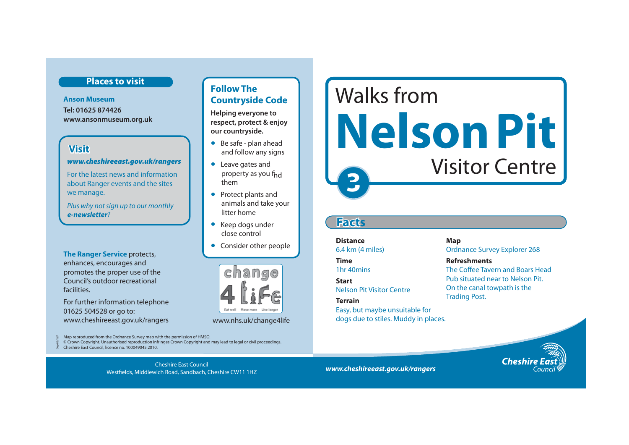# **Places to visit**

**Anson Museum Tel: 01625 874426 www.ansonmuseum.org.uk** 

# **Visit**

### *www.cheshireeast.gov.uk/rangers*

For the latest news and information about Ranger events and the sites we manage.

Plus why not sign up to our monthly *e-newsletter*?

**The Ranger Service** protects, enhances, encourages and promotes the proper use of the Council's outdoor recreational facilities.

For further information telephone 01625 504528 or go to: www.cheshireeast.gov.uk/rangers www.nhs.uk/change4life

Map reproduced from the Ordnance Survey map with the permission of HMSO. © Crown Copyright. Unauthorised reproduction infringes Crown Copyright and may lead to legal or civil proceedings.

 $\frac{1}{26}$  Cheshire East Council, licence no. 100049045 2010. Sep 09/167

*www.cheshireeast.gov.uk/rangers* Cheshire East Council Westfields, Middlewich Road, Sandbach, Cheshire CW11 1HZ

# **Follow The Countryside Code**

**Helping everyone to respect, protect & enjoy our countryside.**

- Be safe plan ahead and follow any signs
- Leave gates and property as you f<sub>hd</sub> them
- Protect plants and animals and take your litter home
- Keep dogs under close control
- Consider other people



# **3**  Walks from **Nelson Pit**  Visitor Centre

# **Facts**

**Distance** Map 6.4 km (4 miles) Ordnance Survey Explorer 268 **Time Refreshments Terrain Trading Post.** 

Easy, but maybe unsuitable for dogs due to stiles. Muddy in places.

1hr 40mins The Coffee Tavern and Boars Head Pub situated near to Nelson Pit. **Start** Nelson Pit Visitor Centre On the canal towpath is the

**Cheshire**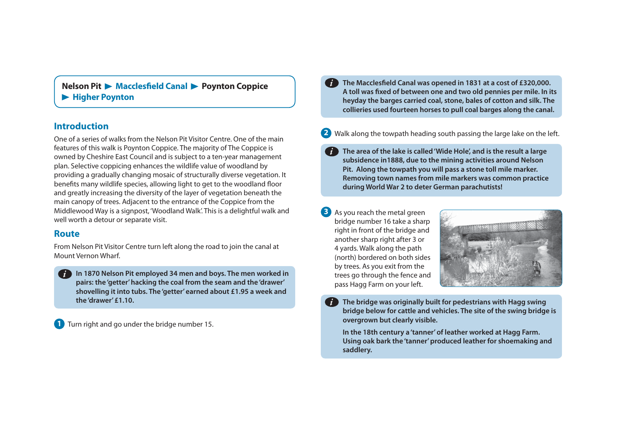**Nelson Pit Macclesfield Canal A Poynton Coppice Higher Poynton** 

### **Introduction**

One of a series of walks from the Nelson Pit Visitor Centre. One of the main features of this walk is Poynton Coppice. The majority of The Coppice is owned by Cheshire East Council and is subject to a ten-year management plan. Selective coppicing enhances the wildlife value of woodland by providing a gradually changing mosaic of structurally diverse vegetation. It benefits many wildlife species, allowing light to get to the woodland floor and greatly increasing the diversity of the layer of vegetation beneath the main canopy of trees. Adjacent to the entrance of the Coppice from the Middlewood Way is a signpost, 'Woodland Walk'. This is a delightful walk and well worth a detour or separate visit.

From Nelson Pit Visitor Centre turn left along the road to join the canal at 4 yards. Walk along the path<br>Mount Vernon Wharf. (north) bordered on both sid

**In 1870 Nelson Pit employed 34 men and boys. The men worked in**  *i***pairs: the 'getter' hacking the coal from the seam and the 'drawer' shovelling it into tubs. The 'getter' earned about £1.95 a week and the 'drawer' £1.10.** 

**1** Turn right and go under the bridge number 15.

- **The Macclesfield Canal was opened in 1831 at a cost of £320,000. A toll was fixed of between one and two old pennies per mile. In its heyday the barges carried coal, stone, bales of cotton and silk. The collieries used fourteen horses to pull coal barges along the canal.**  *i*
- **2 Walk along the towpath heading south passing the large lake on the left.** 
	- **The area of the lake is called 'Wide Hole', and is the result a large subsidence in1888, due to the mining activities around Nelson Pit. Along the towpath you will pass a stone toll mile marker. Removing town names from mile markers was common practice during World War 2 to deter German parachutists!**
- As you reach the metal green **3**  bridge number 16 take a sharp right in front of the bridge and **Route** another sharp right after 3 or (north) bordered on both sides by trees. As you exit from the trees go through the fence and pass Hagg Farm on your left.



**The bridge was originally built for pedestrians with Hagg swing bridge below for cattle and vehicles. The site of the swing bridge is overgrown but clearly visible.** 

**In the 18th century a 'tanner' of leather worked at Hagg Farm. Using oak bark the 'tanner' produced leather for shoemaking and saddlery.**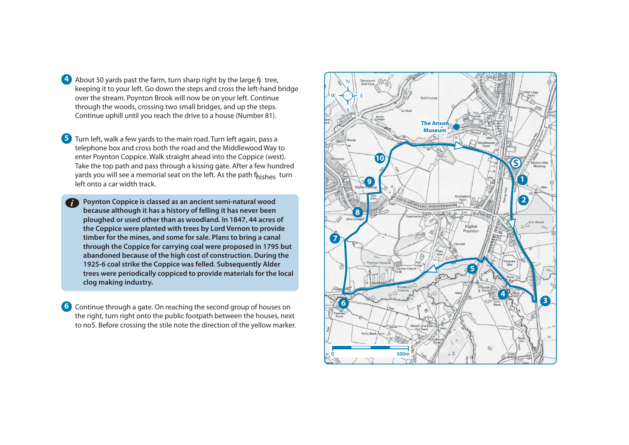**4** About 50 yards past the farm, turn sharp right by the large  $f$ <sub>F</sub> tree, keeping it to your left. Go down the steps and cross the left-hand bridge over the stream. Poynton Brook will now be on your left. Continue through the woods, crossing two small bridges, and up the steps. Continue uphill until you reach the drive to a house (Number 81).

**5**  Turn left, walk a few yards to the main road. Turn left again, pass a telephone box and cross both the road and the Middlewood Way to enter Poynton Coppice. Walk straight ahead into the Coppice (west). Take the top path and pass through a kissing gate. After a few hundred yards you will see a memorial seat on the left. As the path fhishes turn left onto a car width track.

**Poynton Coppice is classed as an ancient semi-natural wood**  *i***because although it has a history of felling it has never been ploughed or used other than as woodland. In 1847, 44 acres of the Coppice were planted with trees by Lord Vernon to provide timber for the mines, and some for sale. Plans to bring a canal through the Coppice for carrying coal were proposed in 1795 but abandoned because of the high cost of construction. During the 1925-6 coal strike the Coppice was felled. Subsequently Alder trees were periodically coppiced to provide materials for the local clog making industry.** 

**6** Continue through a gate. On reaching the second group of houses on the right, turn right onto the public footpath between the houses, next to no5. Before crossing the stile note the direction of the yellow marker.